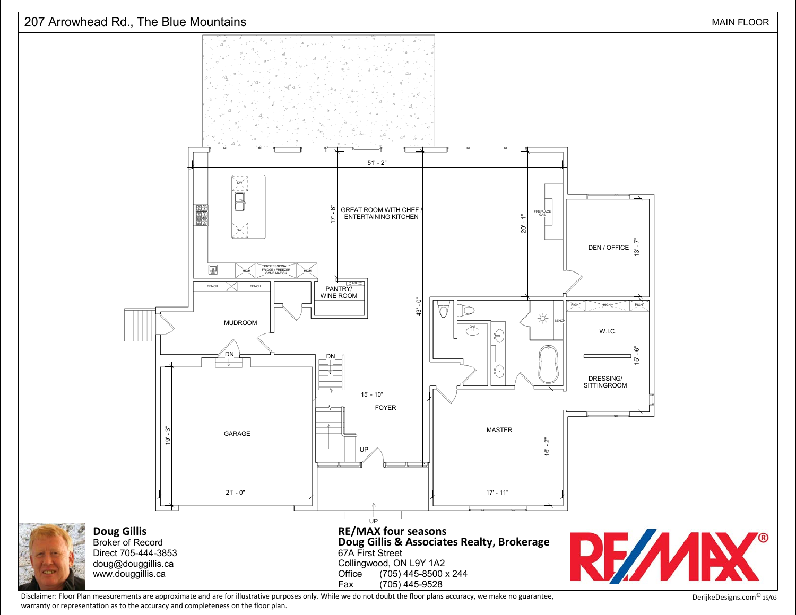

Disclaimer: Floor Plan measurements are approximate and are for illustrative purposes only. While we do not doubt the floor plans accuracy, we make no guarantee, warranty or representation as to the accuracy and completeness on the floor plan.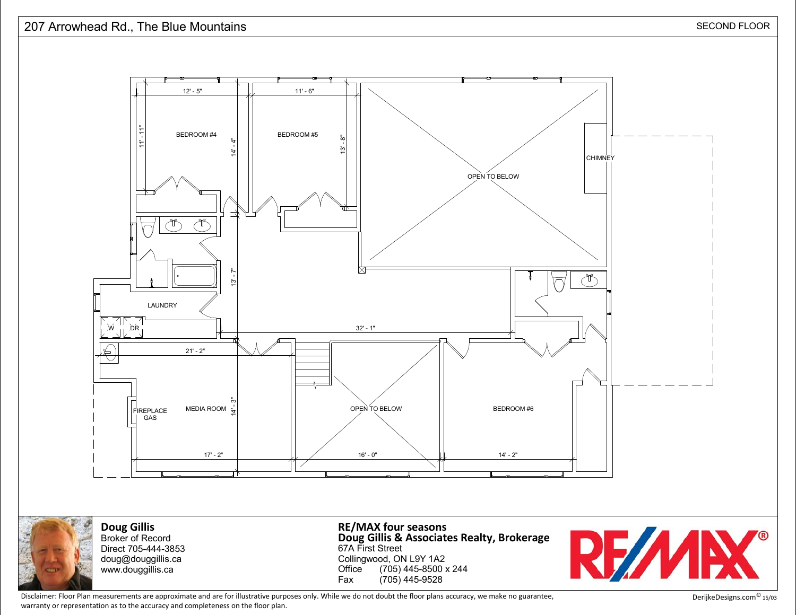





**Doug Gillis** Broker of RecordDirect 705-444-3853

 doug@douggillis.cawww.douggillis.ca

67A First Street Collingwood, ON L9Y 1A2 Office (705) 445-8500 x 244Fax (705) 445-9528**Doug Gillis & Associates Realty, BrokerageRE/MAX four seasons**



Disclaimer: Floor Plan measurements are approximate and are for illustrative purposes only. While we do not doubt the floor plans accuracy, we make no guarantee,warranty or representation as to the accuracy and completeness on the floor plan.